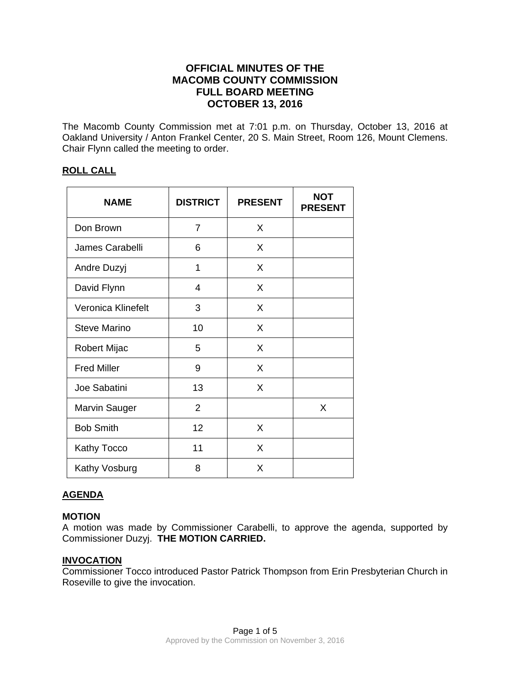# **OFFICIAL MINUTES OF THE MACOMB COUNTY COMMISSION FULL BOARD MEETING OCTOBER 13, 2016**

The Macomb County Commission met at 7:01 p.m. on Thursday, October 13, 2016 at Oakland University / Anton Frankel Center, 20 S. Main Street, Room 126, Mount Clemens. Chair Flynn called the meeting to order.

## **ROLL CALL**

| <b>NAME</b>          | <b>DISTRICT</b> | <b>PRESENT</b> | <b>NOT</b><br><b>PRESENT</b> |
|----------------------|-----------------|----------------|------------------------------|
| Don Brown            | 7               | X              |                              |
| James Carabelli      | 6               | X              |                              |
| Andre Duzyj          | 1               | X              |                              |
| David Flynn          | 4               | X              |                              |
| Veronica Klinefelt   | 3               | X              |                              |
| <b>Steve Marino</b>  | 10              | X              |                              |
| <b>Robert Mijac</b>  | 5               | X              |                              |
| <b>Fred Miller</b>   | 9               | X              |                              |
| Joe Sabatini         | 13              | X              |                              |
| <b>Marvin Sauger</b> | $\overline{2}$  |                | X                            |
| <b>Bob Smith</b>     | 12              | X              |                              |
| <b>Kathy Tocco</b>   | 11              | X              |                              |
| Kathy Vosburg        | 8               | X              |                              |

### **AGENDA**

### **MOTION**

A motion was made by Commissioner Carabelli, to approve the agenda, supported by Commissioner Duzyj. **THE MOTION CARRIED.** 

### **INVOCATION**

Commissioner Tocco introduced Pastor Patrick Thompson from Erin Presbyterian Church in Roseville to give the invocation.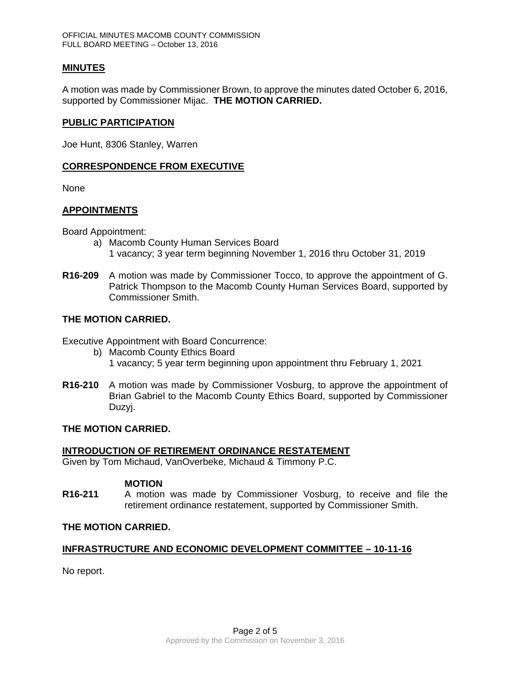### **MINUTES**

A motion was made by Commissioner Brown, to approve the minutes dated October 6, 2016, supported by Commissioner Mijac. **THE MOTION CARRIED.** 

#### **PUBLIC PARTICIPATION**

Joe Hunt, 8306 Stanley, Warren

### **CORRESPONDENCE FROM EXECUTIVE**

None

### **APPOINTMENTS**

Board Appointment:

- a) Macomb County Human Services Board 1 vacancy; 3 year term beginning November 1, 2016 thru October 31, 2019
- **R16-209** A motion was made by Commissioner Tocco, to approve the appointment of G. Patrick Thompson to the Macomb County Human Services Board, supported by Commissioner Smith.

### **THE MOTION CARRIED.**

Executive Appointment with Board Concurrence:

- b) Macomb County Ethics Board 1 vacancy; 5 year term beginning upon appointment thru February 1, 2021
- **R16-210** A motion was made by Commissioner Vosburg, to approve the appointment of Brian Gabriel to the Macomb County Ethics Board, supported by Commissioner Duzyj.

### **THE MOTION CARRIED.**

#### **INTRODUCTION OF RETIREMENT ORDINANCE RESTATEMENT**

Given by Tom Michaud, VanOverbeke, Michaud & Timmony P.C.

#### **MOTION**

**R16-211** A motion was made by Commissioner Vosburg, to receive and file the retirement ordinance restatement, supported by Commissioner Smith.

#### **THE MOTION CARRIED.**

### **INFRASTRUCTURE AND ECONOMIC DEVELOPMENT COMMITTEE – 10-11-16**

No report.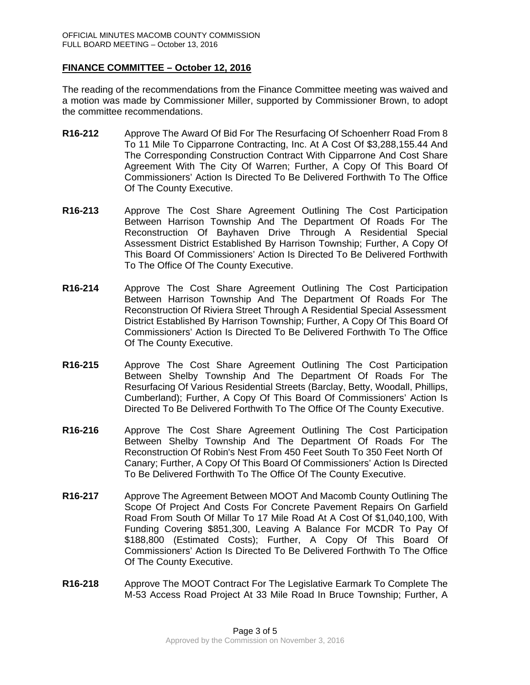### **FINANCE COMMITTEE – October 12, 2016**

The reading of the recommendations from the Finance Committee meeting was waived and a motion was made by Commissioner Miller, supported by Commissioner Brown, to adopt the committee recommendations.

- **R16-212** Approve The Award Of Bid For The Resurfacing Of Schoenherr Road From 8 To 11 Mile To Cipparrone Contracting, Inc. At A Cost Of \$3,288,155.44 And The Corresponding Construction Contract With Cipparrone And Cost Share Agreement With The City Of Warren; Further, A Copy Of This Board Of Commissioners' Action Is Directed To Be Delivered Forthwith To The Office Of The County Executive.
- **R16-213** Approve The Cost Share Agreement Outlining The Cost Participation Between Harrison Township And The Department Of Roads For The Reconstruction Of Bayhaven Drive Through A Residential Special Assessment District Established By Harrison Township; Further, A Copy Of This Board Of Commissioners' Action Is Directed To Be Delivered Forthwith To The Office Of The County Executive.
- **R16-214** Approve The Cost Share Agreement Outlining The Cost Participation Between Harrison Township And The Department Of Roads For The Reconstruction Of Riviera Street Through A Residential Special Assessment District Established By Harrison Township; Further, A Copy Of This Board Of Commissioners' Action Is Directed To Be Delivered Forthwith To The Office Of The County Executive.
- **R16-215** Approve The Cost Share Agreement Outlining The Cost Participation Between Shelby Township And The Department Of Roads For The Resurfacing Of Various Residential Streets (Barclay, Betty, Woodall, Phillips, Cumberland); Further, A Copy Of This Board Of Commissioners' Action Is Directed To Be Delivered Forthwith To The Office Of The County Executive.
- **R16-216** Approve The Cost Share Agreement Outlining The Cost Participation Between Shelby Township And The Department Of Roads For The Reconstruction Of Robin's Nest From 450 Feet South To 350 Feet North Of Canary; Further, A Copy Of This Board Of Commissioners' Action Is Directed To Be Delivered Forthwith To The Office Of The County Executive.
- **R16-217** Approve The Agreement Between MOOT And Macomb County Outlining The Scope Of Project And Costs For Concrete Pavement Repairs On Garfield Road From South Of Millar To 17 Mile Road At A Cost Of \$1,040,100, With Funding Covering \$851,300, Leaving A Balance For MCDR To Pay Of \$188,800 (Estimated Costs); Further, A Copy Of This Board Of Commissioners' Action Is Directed To Be Delivered Forthwith To The Office Of The County Executive.
- **R16-218** Approve The MOOT Contract For The Legislative Earmark To Complete The M-53 Access Road Project At 33 Mile Road In Bruce Township; Further, A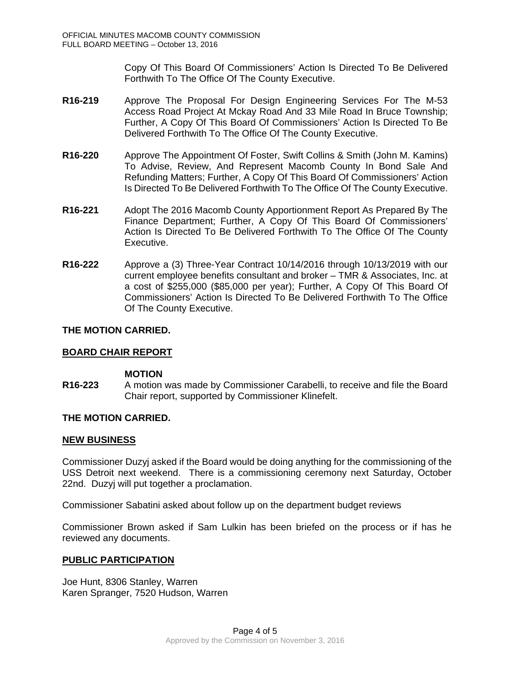Copy Of This Board Of Commissioners' Action Is Directed To Be Delivered Forthwith To The Office Of The County Executive.

- **R16-219** Approve The Proposal For Design Engineering Services For The M-53 Access Road Project At Mckay Road And 33 Mile Road In Bruce Township; Further, A Copy Of This Board Of Commissioners' Action Is Directed To Be Delivered Forthwith To The Office Of The County Executive.
- **R16-220** Approve The Appointment Of Foster, Swift Collins & Smith (John M. Kamins) To Advise, Review, And Represent Macomb County In Bond Sale And Refunding Matters; Further, A Copy Of This Board Of Commissioners' Action Is Directed To Be Delivered Forthwith To The Office Of The County Executive.
- **R16-221** Adopt The 2016 Macomb County Apportionment Report As Prepared By The Finance Department; Further, A Copy Of This Board Of Commissioners' Action Is Directed To Be Delivered Forthwith To The Office Of The County Executive.
- **R16-222** Approve a (3) Three-Year Contract 10/14/2016 through 10/13/2019 with our current employee benefits consultant and broker – TMR & Associates, Inc. at a cost of \$255,000 (\$85,000 per year); Further, A Copy Of This Board Of Commissioners' Action Is Directed To Be Delivered Forthwith To The Office Of The County Executive.

### **THE MOTION CARRIED.**

### **BOARD CHAIR REPORT**

#### **MOTION**

**R16-223** A motion was made by Commissioner Carabelli, to receive and file the Board Chair report, supported by Commissioner Klinefelt.

#### **THE MOTION CARRIED.**

#### **NEW BUSINESS**

Commissioner Duzyj asked if the Board would be doing anything for the commissioning of the USS Detroit next weekend. There is a commissioning ceremony next Saturday, October 22nd. Duzyj will put together a proclamation.

Commissioner Sabatini asked about follow up on the department budget reviews

Commissioner Brown asked if Sam Lulkin has been briefed on the process or if has he reviewed any documents.

#### **PUBLIC PARTICIPATION**

Joe Hunt, 8306 Stanley, Warren Karen Spranger, 7520 Hudson, Warren